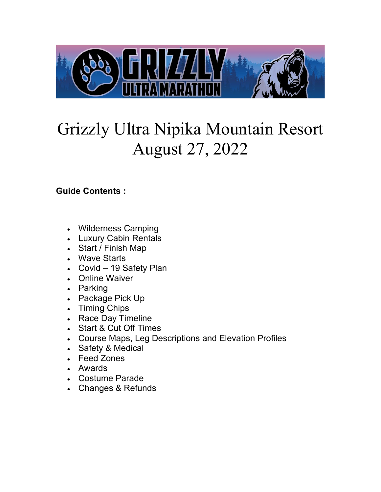

# Grizzly Ultra Nipika Mountain Resort August 27, 2022

## **Guide Contents :**

- Wilderness Camping
- Luxury Cabin Rentals
- Start / Finish Map
- Wave Starts
- Covid 19 Safety Plan
- Online Waiver
- Parking
- Package Pick Up
- Timing Chips
- Race Day Timeline
- Start & Cut Off Times
- Course Maps, Leg Descriptions and Elevation Profiles
- Safety & Medical
- Feed Zones
- Awards
- Costume Parade
- Changes & Refunds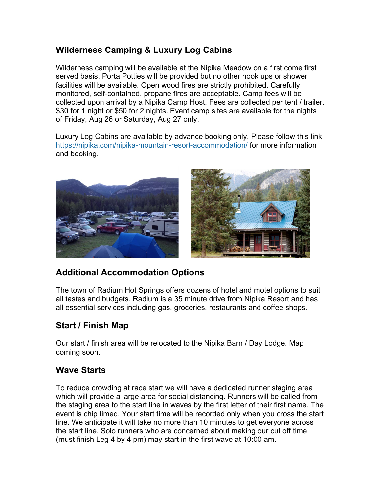## **Wilderness Camping & Luxury Log Cabins**

Wilderness camping will be available at the Nipika Meadow on a first come first served basis. Porta Potties will be provided but no other hook ups or shower facilities will be available. Open wood fires are strictly prohibited. Carefully monitored, self-contained, propane fires are acceptable. Camp fees will be collected upon arrival by a Nipika Camp Host. Fees are collected per tent / trailer. \$30 for 1 night or \$50 for 2 nights. Event camp sites are available for the nights of Friday, Aug 26 or Saturday, Aug 27 only.

Luxury Log Cabins are available by advance booking only. Please follow this link <https://nipika.com/nipika-mountain-resort-accommodation/> for more information and booking.



## **Additional Accommodation Options**

The town of Radium Hot Springs offers dozens of hotel and motel options to suit all tastes and budgets. Radium is a 35 minute drive from Nipika Resort and has all essential services including gas, groceries, restaurants and coffee shops.

## **Start / Finish Map**

Our start / finish area will be relocated to the Nipika Barn / Day Lodge. Map coming soon.

#### **Wave Starts**

To reduce crowding at race start we will have a dedicated runner staging area which will provide a large area for social distancing. Runners will be called from the staging area to the start line in waves by the first letter of their first name. The event is chip timed. Your start time will be recorded only when you cross the start line. We anticipate it will take no more than 10 minutes to get everyone across the start line. Solo runners who are concerned about making our cut off time (must finish Leg 4 by 4 pm) may start in the first wave at 10:00 am.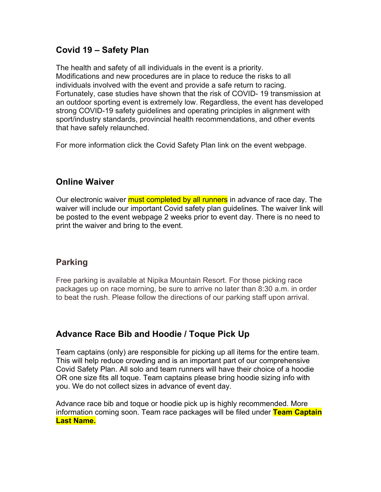#### **Covid 19 – Safety Plan**

The health and safety of all individuals in the event is a priority. Modifications and new procedures are in place to reduce the risks to all individuals involved with the event and provide a safe return to racing. Fortunately, case studies have shown that the risk of COVID- 19 transmission at an outdoor sporting event is extremely low. Regardless, the event has developed strong COVID-19 safety guidelines and operating principles in alignment with sport/industry standards, provincial health recommendations, and other events that have safely relaunched.

For more information click the Covid Safety Plan link on the event webpage.

## **Online Waiver**

Our electronic waiver must completed by all runners in advance of race day. The waiver will include our important Covid safety plan guidelines. The waiver link will be posted to the event webpage 2 weeks prior to event day. There is no need to print the waiver and bring to the event.

## **Parking**

Free parking is available at Nipika Mountain Resort. For those picking race packages up on race morning, be sure to arrive no later than 8:30 a.m. in order to beat the rush. Please follow the directions of our parking staff upon arrival.

## **Advance Race Bib and Hoodie / Toque Pick Up**

Team captains (only) are responsible for picking up all items for the entire team. This will help reduce crowding and is an important part of our comprehensive Covid Safety Plan. All solo and team runners will have their choice of a hoodie OR one size fits all toque. Team captains please bring hoodie sizing info with you. We do not collect sizes in advance of event day.

Advance race bib and toque or hoodie pick up is highly recommended. More information coming soon. Team race packages will be filed under **Team Captain Last Name.**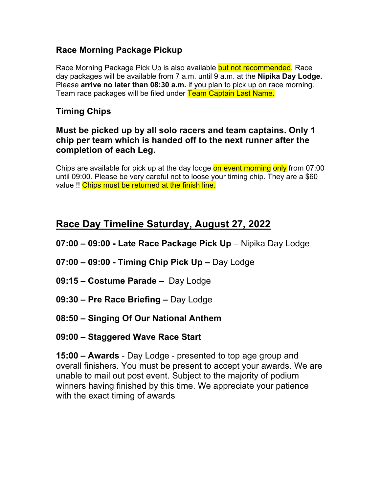## **Race Morning Package Pickup**

Race Morning Package Pick Up is also available but not recommended. Race day packages will be available from 7 a.m. until 9 a.m. at the **Nipika Day Lodge.** Please **arrive no later than 08:30 a.m.** if you plan to pick up on race morning. Team race packages will be filed under Team Captain Last Name.

## **Timing Chips**

#### **Must be picked up by all solo racers and team captains. Only 1 chip per team which is handed off to the next runner after the completion of each Leg.**

Chips are available for pick up at the day lodge on event morning only from 07:00 until 09:00. Please be very careful not to loose your timing chip. They are a \$60 value !! Chips must be returned at the finish line.

# **Race Day Timeline Saturday, August 27, 2022**

- **07:00 09:00 Late Race Package Pick Up** Nipika Day Lodge
- **07:00 09:00 Timing Chip Pick Up** Day Lodge
- **09:15 Costume Parade** Day Lodge
- **09:30 Pre Race Briefing** Day Lodge
- **08:50 Singing Of Our National Anthem**
- **09:00 Staggered Wave Race Start**

**15:00 – Awards** - Day Lodge - presented to top age group and overall finishers. You must be present to accept your awards. We are unable to mail out post event. Subject to the majority of podium winners having finished by this time. We appreciate your patience with the exact timing of awards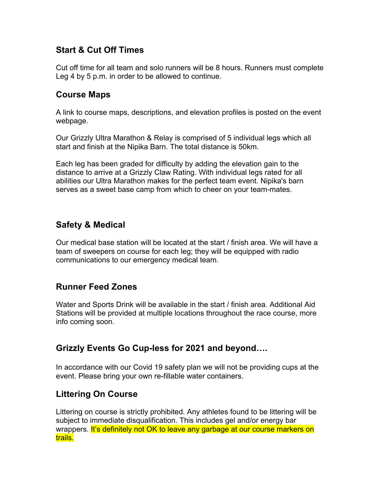#### **Start & Cut Off Times**

Cut off time for all team and solo runners will be 8 hours. Runners must complete Leg 4 by 5 p.m. in order to be allowed to continue.

#### **Course Maps**

A link to course maps, descriptions, and elevation profiles is posted on the event webpage.

Our Grizzly Ultra Marathon & Relay is comprised of 5 individual legs which all start and finish at the Nipika Barn. The total distance is 50km.

Each leg has been graded for difficulty by adding the elevation gain to the distance to arrive at a Grizzly Claw Rating. With individual legs rated for all abilities our Ultra Marathon makes for the perfect team event. Nipika's barn serves as a sweet base camp from which to cheer on your team-mates.

#### **Safety & Medical**

Our medical base station will be located at the start / finish area. We will have a team of sweepers on course for each leg; they will be equipped with radio communications to our emergency medical team.

#### **Runner Feed Zones**

Water and Sports Drink will be available in the start / finish area. Additional Aid Stations will be provided at multiple locations throughout the race course, more info coming soon.

#### **Grizzly Events Go Cup-less for 2021 and beyond….**

In accordance with our Covid 19 safety plan we will not be providing cups at the event. Please bring your own re-fillable water containers.

#### **Littering On Course**

Littering on course is strictly prohibited. Any athletes found to be littering will be subject to immediate disqualification. This includes gel and/or energy bar wrappers. It's definitely not OK to leave any garbage at our course markers on trails.